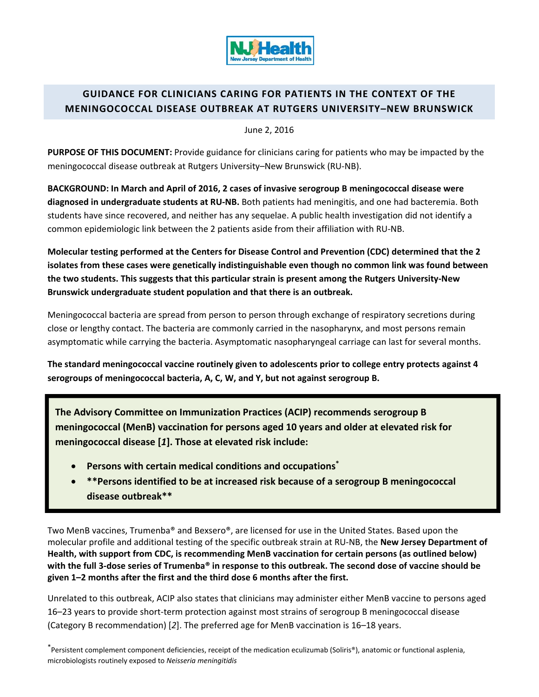

# **GUIDANCE FOR CLINICIANS CARING FOR PATIENTS IN THE CONTEXT OF THE MENINGOCOCCAL DISEASE OUTBREAK AT RUTGERS UNIVERSITY–NEW BRUNSWICK**

June 2, 2016

**PURPOSE OF THIS DOCUMENT:** Provide guidance for clinicians caring for patients who may be impacted by the meningococcal disease outbreak at Rutgers University–New Brunswick (RU‐NB).

**BACKGROUND: In March and April of 2016, 2 cases of invasive serogroup B meningococcal disease were diagnosed in undergraduate students at RU‐NB.** Both patients had meningitis, and one had bacteremia. Both students have since recovered, and neither has any sequelae. A public health investigation did not identify a common epidemiologic link between the 2 patients aside from their affiliation with RU‐NB.

**Molecular testing performed at the Centers for Disease Control and Prevention (CDC) determined that the 2 isolates from these cases were genetically indistinguishable even though no common link was found between the two students. This suggests that this particular strain is present among the Rutgers University‐New Brunswick undergraduate student population and that there is an outbreak.**

Meningococcal bacteria are spread from person to person through exchange of respiratory secretions during close or lengthy contact. The bacteria are commonly carried in the nasopharynx, and most persons remain asymptomatic while carrying the bacteria. Asymptomatic nasopharyngeal carriage can last for several months.

**The standard meningococcal vaccine routinely given to adolescents prior to college entry protects against 4 serogroups of meningococcal bacteria, A, C, W, and Y, but not against serogroup B.**

**The Advisory Committee on Immunization Practices (ACIP) recommends serogroup B meningococcal (MenB) vaccination for persons aged 10 years and older at elevated risk for meningococcal disease [***1***]. Those at elevated risk include:**

- **Persons with certain medical conditions and occupations\***
- **\*\*Persons identified to be at increased risk because of a serogroup B meningococcal disease outbreak\*\***

Two MenB vaccines, Trumenba® and Bexsero®, are licensed for use in the United States. Based upon the molecular profile and additional testing of the specific outbreak strain at RU‐NB, the **New Jersey Department of Health, with support from CDC, is recommending MenB vaccination for certain persons (as outlined below)** with the full 3-dose series of Trumenba® in response to this outbreak. The second dose of vaccine should be **given 1–2 months after the first and the third dose 6 months after the first.**

Unrelated to this outbreak, ACIP also states that clinicians may administer either MenB vaccine to persons aged 16–23 years to provide short‐term protection against most strains of serogroup B meningococcal disease (Category B recommendation) [*2*]. The preferred age for MenB vaccination is 16–18 years.

\* Persistent complement component deficiencies, receipt of the medication eculizumab (Soliris®), anatomic or functional asplenia, microbiologists routinely exposed to *Neisseria meningitidis*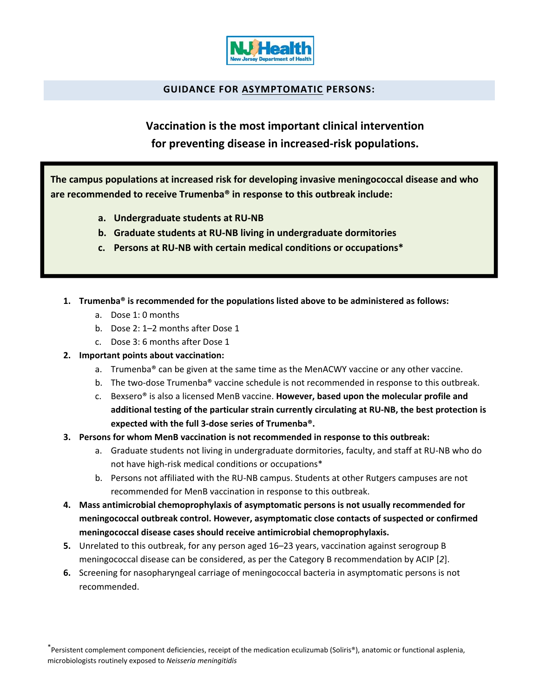

# **GUIDANCE FOR ASYMPTOMATIC PERSONS:**

**Vaccination is the most important clinical intervention for preventing disease in increased‐risk populations.**

**The campus populations at increased risk for developing invasive meningococcal disease and who are recommended to receive Trumenba® in response to this outbreak include:**

- **a. Undergraduate students at RU‐NB**
- **b. Graduate students at RU‐NB living in undergraduate dormitories**
- **c. Persons at RU‐NB with certain medical conditions or occupations\***
- **1. Trumenba® is recommended for the populations listed above to be administered as follows:**
	- a. Dose 1: 0 months
	- b. Dose 2: 1–2 months after Dose 1
	- c. Dose 3: 6 months after Dose 1

### **2. Important points about vaccination:**

- a. Trumenba<sup>®</sup> can be given at the same time as the MenACWY vaccine or any other vaccine.
- b. The two-dose Trumenba® vaccine schedule is not recommended in response to this outbreak.
- c. Bexsero® is also a licensed MenB vaccine. **However, based upon the molecular profile and additional testing of the particular strain currently circulating at RU‐NB, the best protection is expected with the full 3‐dose series of Trumenba®.**
- **3. Persons for whom MenB vaccination is not recommended in response to this outbreak:**
	- a. Graduate students not living in undergraduate dormitories, faculty, and staff at RU‐NB who do not have high-risk medical conditions or occupations\*
	- b. Persons not affiliated with the RU‐NB campus. Students at other Rutgers campuses are not recommended for MenB vaccination in response to this outbreak.
- **4. Mass antimicrobial chemoprophylaxis of asymptomatic persons is not usually recommended for meningococcal outbreak control. However, asymptomatic close contacts of suspected or confirmed meningococcal disease cases should receive antimicrobial chemoprophylaxis.**
- **5.** Unrelated to this outbreak, for any person aged 16–23 years, vaccination against serogroup B meningococcal disease can be considered, as per the Category B recommendation by ACIP [*2*].
- **6.** Screening for nasopharyngeal carriage of meningococcal bacteria in asymptomatic persons is not recommended.